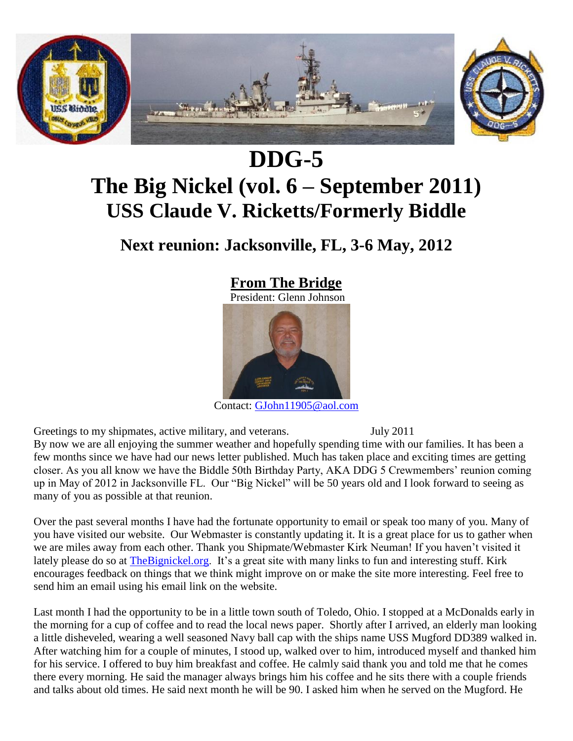

# **DDG-5 The Big Nickel (vol. 6 – September 2011) USS Claude V. Ricketts/Formerly Biddle**

**Next reunion: Jacksonville, FL, 3-6 May, 2012**



Contact: [GJohn11905@aol.com](mailto:GJohn11905@aol.com)

Greetings to my shipmates, active military, and veterans. July 2011 By now we are all enjoying the summer weather and hopefully spending time with our families. It has been a few months since we have had our news letter published. Much has taken place and exciting times are getting closer. As you all know we have the Biddle 50th Birthday Party, AKA DDG 5 Crewmembers' reunion coming up in May of 2012 in Jacksonville FL. Our "Big Nickel" will be 50 years old and I look forward to seeing as many of you as possible at that reunion.

Over the past several months I have had the fortunate opportunity to email or speak too many of you. Many of you have visited our website. Our Webmaster is constantly updating it. It is a great place for us to gather when we are miles away from each other. Thank you Shipmate/Webmaster Kirk Neuman! If you haven't visited it lately please do so at [TheBignickel.org.](http://thebignickel.org/) It's a great site with many links to fun and interesting stuff. Kirk encourages feedback on things that we think might improve on or make the site more interesting. Feel free to send him an email using his email link on the website.

Last month I had the opportunity to be in a little town south of Toledo, Ohio. I stopped at a McDonalds early in the morning for a cup of coffee and to read the local news paper. Shortly after I arrived, an elderly man looking a little disheveled, wearing a well seasoned Navy ball cap with the ships name USS Mugford DD389 walked in. After watching him for a couple of minutes, I stood up, walked over to him, introduced myself and thanked him for his service. I offered to buy him breakfast and coffee. He calmly said thank you and told me that he comes there every morning. He said the manager always brings him his coffee and he sits there with a couple friends and talks about old times. He said next month he will be 90. I asked him when he served on the Mugford. He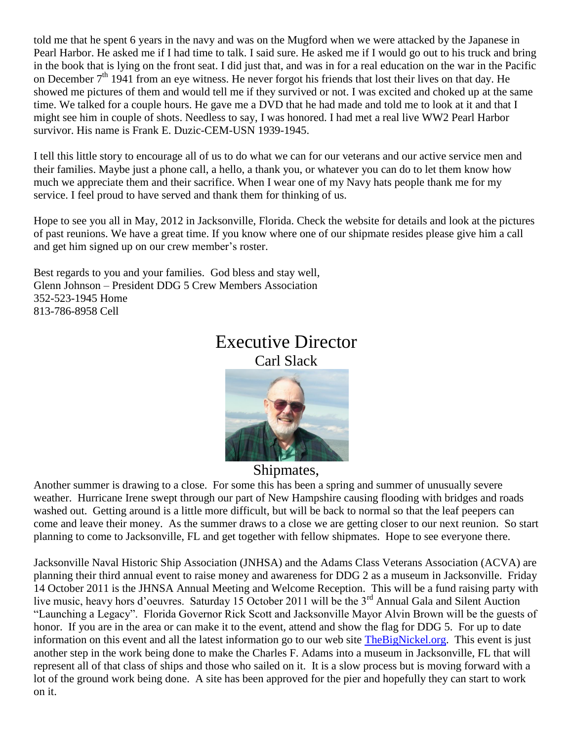told me that he spent 6 years in the navy and was on the Mugford when we were attacked by the Japanese in Pearl Harbor. He asked me if I had time to talk. I said sure. He asked me if I would go out to his truck and bring in the book that is lying on the front seat. I did just that, and was in for a real education on the war in the Pacific on December 7<sup>th</sup> 1941 from an eye witness. He never forgot his friends that lost their lives on that day. He showed me pictures of them and would tell me if they survived or not. I was excited and choked up at the same time. We talked for a couple hours. He gave me a DVD that he had made and told me to look at it and that I might see him in couple of shots. Needless to say, I was honored. I had met a real live WW2 Pearl Harbor survivor. His name is Frank E. Duzic-CEM-USN 1939-1945.

I tell this little story to encourage all of us to do what we can for our veterans and our active service men and their families. Maybe just a phone call, a hello, a thank you, or whatever you can do to let them know how much we appreciate them and their sacrifice. When I wear one of my Navy hats people thank me for my service. I feel proud to have served and thank them for thinking of us.

Hope to see you all in May, 2012 in Jacksonville, Florida. Check the website for details and look at the pictures of past reunions. We have a great time. If you know where one of our shipmate resides please give him a call and get him signed up on our crew member's roster.

Best regards to you and your families. God bless and stay well, Glenn Johnson – President DDG 5 Crew Members Association 352-523-1945 Home 813-786-8958 Cell

### Executive Director Carl Slack



#### Shipmates,

Another summer is drawing to a close. For some this has been a spring and summer of unusually severe weather. Hurricane Irene swept through our part of New Hampshire causing flooding with bridges and roads washed out. Getting around is a little more difficult, but will be back to normal so that the leaf peepers can come and leave their money. As the summer draws to a close we are getting closer to our next reunion. So start planning to come to Jacksonville, FL and get together with fellow shipmates. Hope to see everyone there.

Jacksonville Naval Historic Ship Association (JNHSA) and the Adams Class Veterans Association (ACVA) are planning their third annual event to raise money and awareness for DDG 2 as a museum in Jacksonville. Friday 14 October 2011 is the JHNSA Annual Meeting and Welcome Reception. This will be a fund raising party with live music, heavy hors d'oeuvres. Saturday 15 October 2011 will be the 3<sup>rd</sup> Annual Gala and Silent Auction "Launching a Legacy". Florida Governor Rick Scott and Jacksonville Mayor Alvin Brown will be the guests of honor. If you are in the area or can make it to the event, attend and show the flag for DDG 5. For up to date information on this event and all the latest information go to our web site [TheBigNickel.org.](http://thebignickel.org/) This event is just another step in the work being done to make the Charles F. Adams into a museum in Jacksonville, FL that will represent all of that class of ships and those who sailed on it. It is a slow process but is moving forward with a lot of the ground work being done. A site has been approved for the pier and hopefully they can start to work on it.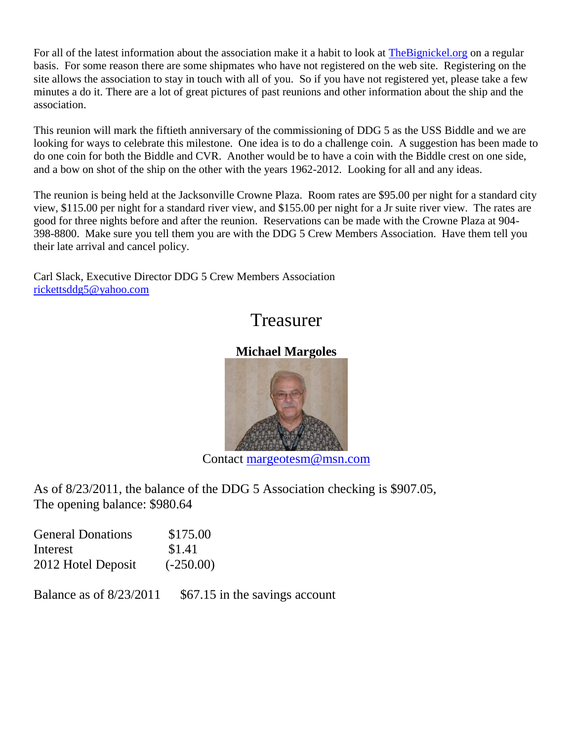For all of the latest information about the association make it a habit to look at The Bignickel.org on a regular basis. For some reason there are some shipmates who have not registered on the web site. Registering on the site allows the association to stay in touch with all of you. So if you have not registered yet, please take a few minutes a do it. There are a lot of great pictures of past reunions and other information about the ship and the association.

This reunion will mark the fiftieth anniversary of the commissioning of DDG 5 as the USS Biddle and we are looking for ways to celebrate this milestone. One idea is to do a challenge coin. A suggestion has been made to do one coin for both the Biddle and CVR. Another would be to have a coin with the Biddle crest on one side, and a bow on shot of the ship on the other with the years 1962-2012. Looking for all and any ideas.

The reunion is being held at the Jacksonville Crowne Plaza. Room rates are \$95.00 per night for a standard city view, \$115.00 per night for a standard river view, and \$155.00 per night for a Jr suite river view. The rates are good for three nights before and after the reunion. Reservations can be made with the Crowne Plaza at 904- 398-8800. Make sure you tell them you are with the DDG 5 Crew Members Association. Have them tell you their late arrival and cancel policy.

Carl Slack, Executive Director DDG 5 Crew Members Association [rickettsddg5@yahoo.com](mailto:rickettsddg5@yahoo.com)

## Treasurer

#### **Michael Margoles**



Contact [margeotesm@msn.com](mailto:margeotesm@msn.com)

As of 8/23/2011, the balance of the DDG 5 Association checking is \$907.05, The opening balance: \$980.64

| <b>General Donations</b> | \$175.00    |
|--------------------------|-------------|
| Interest                 | \$1.41      |
| 2012 Hotel Deposit       | $(-250.00)$ |

Balance as of  $8/23/2011$  \$67.15 in the savings account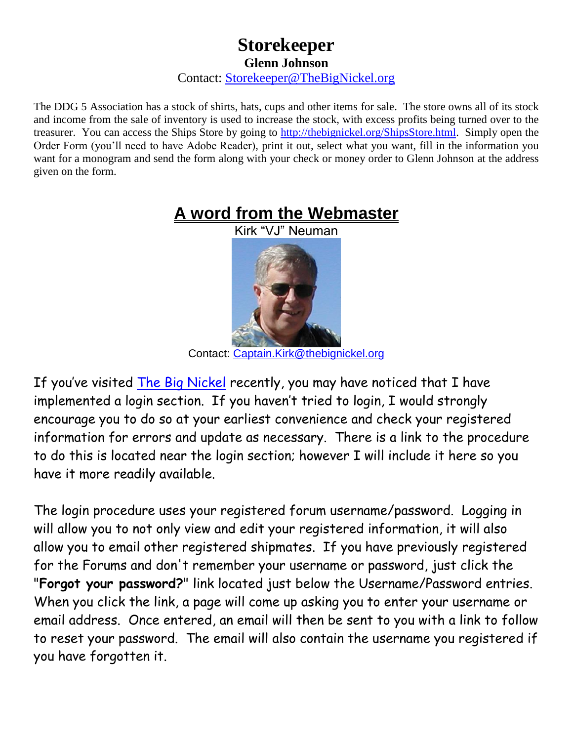### **Storekeeper Glenn Johnson** Contact: [Storekeeper@TheBigNickel.org](mailto:storekeeper@thebignickel.org)

The DDG 5 Association has a stock of shirts, hats, cups and other items for sale. The store owns all of its stock and income from the sale of inventory is used to increase the stock, with excess profits being turned over to the treasurer. You can access the Ships Store by going to [http://thebignickel.org/ShipsStore.html.](http://thebignickel.org/ShipsStore.html) Simply open the Order Form (you'll need to have Adobe Reader), print it out, select what you want, fill in the information you want for a monogram and send the form along with your check or money order to Glenn Johnson at the address given on the form.



Contact: [Captain.Kirk@thebignickel.org](mailto:Captain.Kirk@thebignickel.org)

If you've visited [The Big Nickel](http://thebignickel.org/) recently, you may have noticed that I have implemented a login section. If you haven't tried to login, I would strongly encourage you to do so at your earliest convenience and check your registered information for errors and update as necessary. There is a link to the procedure to do this is located near the login section; however I will include it here so you have it more readily available.

The login procedure uses your registered forum username/password. Logging in will allow you to not only view and edit your registered information, it will also allow you to email other registered shipmates. If you have previously registered for the Forums and don't remember your username or password, just click the "**Forgot your password?**" link located just below the Username/Password entries. When you click the link, a page will come up asking you to enter your username or email address. Once entered, an email will then be sent to you with a link to follow to reset your password. The email will also contain the username you registered if you have forgotten it.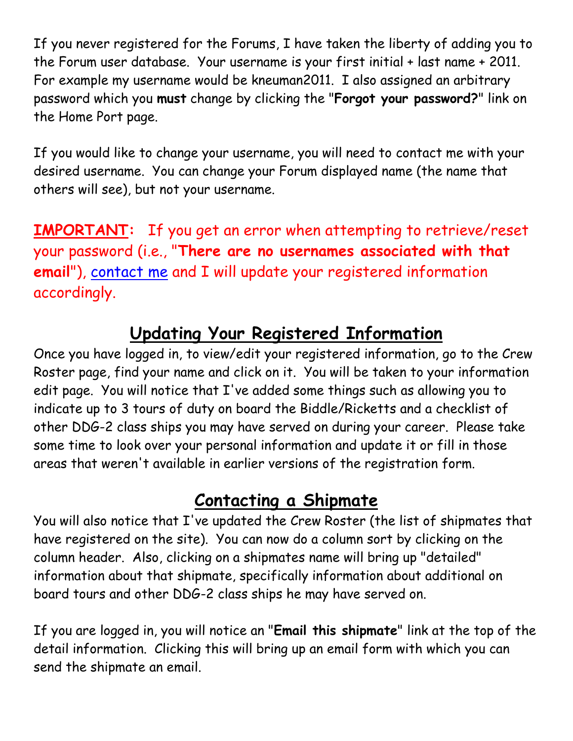If you never registered for the Forums, I have taken the liberty of adding you to the Forum user database. Your username is your first initial + last name + 2011. For example my username would be kneuman2011. I also assigned an arbitrary password which you **must** change by clicking the "**Forgot your password?**" link on the Home Port page.

If you would like to change your username, you will need to contact me with your desired username. You can change your Forum displayed name (the name that others will see), but not your username.

**IMPORTANT:** If you get an error when attempting to retrieve/reset your password (i.e., "**There are no usernames associated with that email**"), [contact me](mailto:Captain.Kirk@TheBigNickel.org?subject=Forum%20email%20address%20missing) and I will update your registered information accordingly.

# **Updating Your Registered Information**

Once you have logged in, to view/edit your registered information, go to the Crew Roster page, find your name and click on it. You will be taken to your information edit page. You will notice that I've added some things such as allowing you to indicate up to 3 tours of duty on board the Biddle/Ricketts and a checklist of other DDG-2 class ships you may have served on during your career. Please take some time to look over your personal information and update it or fill in those areas that weren't available in earlier versions of the registration form.

# **Contacting a Shipmate**

You will also notice that I've updated the Crew Roster (the list of shipmates that have registered on the site). You can now do a column sort by clicking on the column header. Also, clicking on a shipmates name will bring up "detailed" information about that shipmate, specifically information about additional on board tours and other DDG-2 class ships he may have served on.

If you are logged in, you will notice an "**Email this shipmate**" link at the top of the detail information. Clicking this will bring up an email form with which you can send the shipmate an email.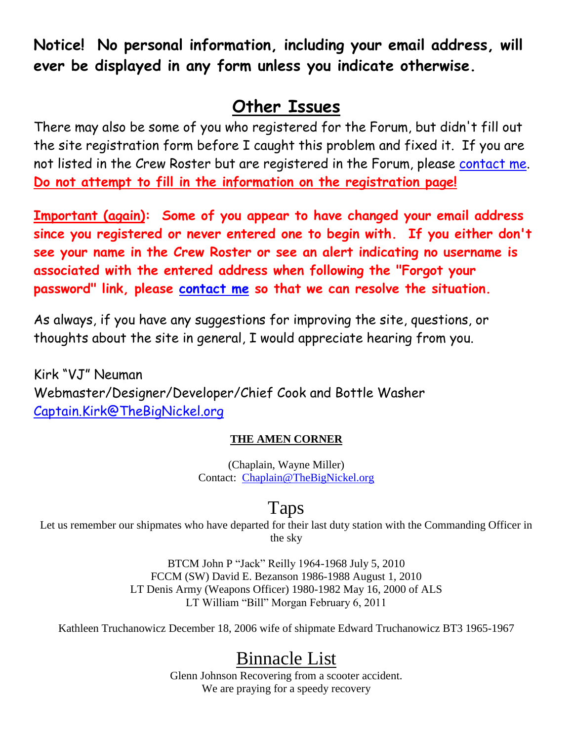**Notice! No personal information, including your email address, will ever be displayed in any form unless you indicate otherwise.**

# **Other Issues**

There may also be some of you who registered for the Forum, but didn't fill out the site registration form before I caught this problem and fixed it. If you are not listed in the Crew Roster but are registered in the Forum, please [contact me.](mailto:Captain.Kirk@TheBigNickel.org?subject=Forum%20only%20registered) **Do not attempt to fill in the information on the registration page!**

**Important (again): Some of you appear to have changed your email address since you registered or never entered one to begin with. If you either don't see your name in the Crew Roster or see an alert indicating no username is associated with the entered address when following the "Forgot your password" link, please [contact me](mailto:Captain.Kirk@TheBigNickel.org?subject=Forum%20email%20address%20missing) so that we can resolve the situation.**

As always, if you have any suggestions for improving the site, questions, or thoughts about the site in general, I would appreciate hearing from you.

Kirk "VJ" Neuman Webmaster/Designer/Developer/Chief Cook and Bottle Washer [Captain.Kirk@TheBigNickel.org](mailto:Captain.Kirk@TheBigNickel.org)

#### **THE AMEN CORNER**

(Chaplain, Wayne Miller) Contact: [Chaplain@TheBigNickel.org](file:///D:/Web%20Drive/CVR%20Site/Newsletter/October%202010/Chaplain@TheBigNickel.org)

## Taps

Let us remember our shipmates who have departed for their last duty station with the Commanding Officer in the sky

> BTCM John P "Jack" Reilly 1964-1968 July 5, 2010 FCCM (SW) David E. Bezanson 1986-1988 August 1, 2010 LT Denis Army (Weapons Officer) 1980-1982 May 16, 2000 of ALS LT William "Bill" Morgan February 6, 2011

Kathleen Truchanowicz December 18, 2006 wife of shipmate Edward Truchanowicz BT3 1965-1967

# Binnacle List

Glenn Johnson Recovering from a scooter accident. We are praying for a speedy recovery